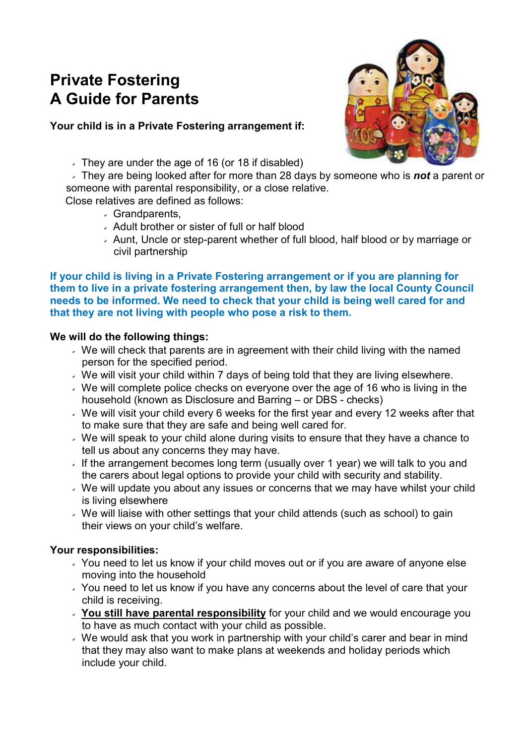# **Private Fostering A Guide for Parents**

## **Your child is in a Private Fostering arrangement if:**

- $\overline{\phantom{a}}$  They are under the age of 16 (or 18 if disabled)
- They are being looked after for more than 28 days by someone who is *not* a parent or someone with parental responsibility, or a close relative.

Close relatives are defined as follows:

- Grandparents,
- Adult brother or sister of full or half blood
- Aunt, Uncle or step-parent whether of full blood, half blood or by marriage or civil partnership

#### **If your child is living in a Private Fostering arrangement or if you are planning for them to live in a private fostering arrangement then, by law the local County Council needs to be informed. We need to check that your child is being well cared for and that they are not living with people who pose a risk to them.**

## **We will do the following things:**

- $\vee$  We will check that parents are in agreement with their child living with the named person for the specified period.
- We will visit your child within 7 days of being told that they are living elsewhere.
- $\overline{\phantom{a}}$  We will complete police checks on everyone over the age of 16 who is living in the household (known as Disclosure and Barring – or DBS - checks)
- $\cdot$  We will visit your child every 6 weeks for the first year and every 12 weeks after that to make sure that they are safe and being well cared for.
- $\cdot$  We will speak to your child alone during visits to ensure that they have a chance to tell us about any concerns they may have.
- If the arrangement becomes long term (usually over 1 year) we will talk to you and the carers about legal options to provide your child with security and stability.
- $\vee$  We will update you about any issues or concerns that we may have whilst your child is living elsewhere
- We will liaise with other settings that your child attends (such as school) to gain their views on your child's welfare.

### **Your responsibilities:**

- You need to let us know if your child moves out or if you are aware of anyone else moving into the household
- You need to let us know if you have any concerns about the level of care that your child is receiving.
- **You still have parental responsibility** for your child and we would encourage you to have as much contact with your child as possible.
- We would ask that you work in partnership with your child's carer and bear in mind that they may also want to make plans at weekends and holiday periods which include your child.